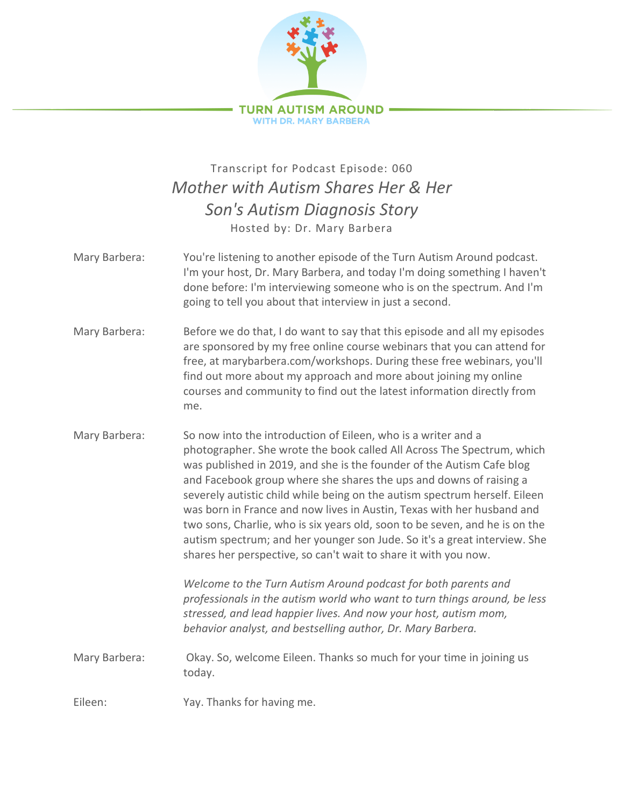

## Transcript for Podcast Episode: 060 *Mother with Autism Shares Her & Her Son's Autism Diagnosis Story* Hosted by: Dr. Mary Barbera

- Mary Barbera: You're listening to another episode of the Turn Autism Around podcast. I'm your host, Dr. Mary Barbera, and today I'm doing something I haven't done before: I'm interviewing someone who is on the spectrum. And I'm going to tell you about that interview in just a second.
- Mary Barbera: Before we do that, I do want to say that this episode and all my episodes are sponsored by my free online course webinars that you can attend for free, at marybarbera.com/workshops. During these free webinars, you'll find out more about my approach and more about joining my online courses and community to find out the latest information directly from me.
- Mary Barbera: So now into the introduction of Eileen, who is a writer and a photographer. She wrote the book called All Across The Spectrum, which was published in 2019, and she is the founder of the Autism Cafe blog and Facebook group where she shares the ups and downs of raising a severely autistic child while being on the autism spectrum herself. Eileen was born in France and now lives in Austin, Texas with her husband and two sons, Charlie, who is six years old, soon to be seven, and he is on the autism spectrum; and her younger son Jude. So it's a great interview. She shares her perspective, so can't wait to share it with you now.

*Welcome to the Turn Autism Around podcast for both parents and professionals in the autism world who want to turn things around, be less stressed, and lead happier lives. And now your host, autism mom, behavior analyst, and bestselling author, Dr. Mary Barbera.*

Mary Barbera: Okay. So, welcome Eileen. Thanks so much for your time in joining us today.

Eileen: Yay. Thanks for having me.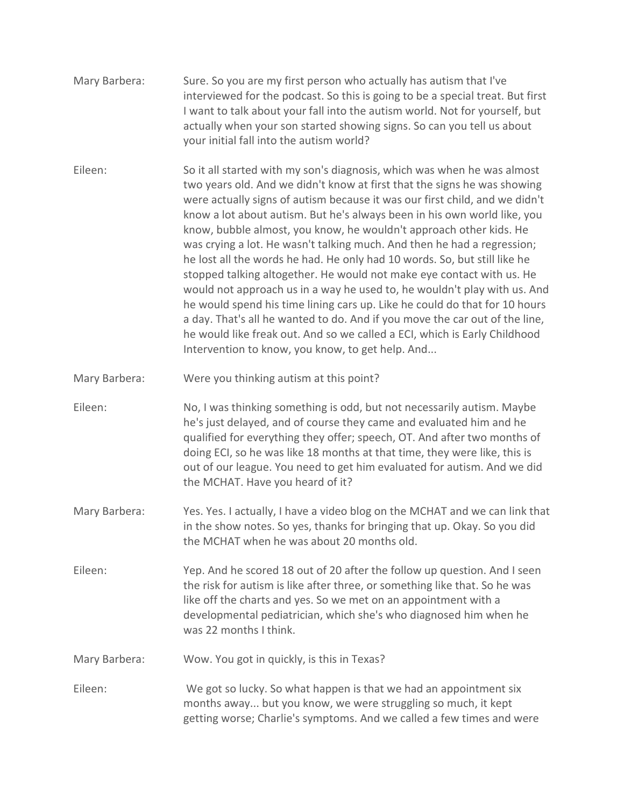- Mary Barbera: Sure. So you are my first person who actually has autism that I've interviewed for the podcast. So this is going to be a special treat. But first I want to talk about your fall into the autism world. Not for yourself, but actually when your son started showing signs. So can you tell us about your initial fall into the autism world?
- Eileen: So it all started with my son's diagnosis, which was when he was almost two years old. And we didn't know at first that the signs he was showing were actually signs of autism because it was our first child, and we didn't know a lot about autism. But he's always been in his own world like, you know, bubble almost, you know, he wouldn't approach other kids. He was crying a lot. He wasn't talking much. And then he had a regression; he lost all the words he had. He only had 10 words. So, but still like he stopped talking altogether. He would not make eye contact with us. He would not approach us in a way he used to, he wouldn't play with us. And he would spend his time lining cars up. Like he could do that for 10 hours a day. That's all he wanted to do. And if you move the car out of the line, he would like freak out. And so we called a ECI, which is Early Childhood Intervention to know, you know, to get help. And...
- Mary Barbera: Were you thinking autism at this point?
- Eileen: No, I was thinking something is odd, but not necessarily autism. Maybe he's just delayed, and of course they came and evaluated him and he qualified for everything they offer; speech, OT. And after two months of doing ECI, so he was like 18 months at that time, they were like, this is out of our league. You need to get him evaluated for autism. And we did the MCHAT. Have you heard of it?
- Mary Barbera: Yes. Yes. I actually, I have a video blog on the MCHAT and we can link that in the show notes. So yes, thanks for bringing that up. Okay. So you did the MCHAT when he was about 20 months old.
- Eileen: Yep. And he scored 18 out of 20 after the follow up question. And I seen the risk for autism is like after three, or something like that. So he was like off the charts and yes. So we met on an appointment with a developmental pediatrician, which she's who diagnosed him when he was 22 months I think.
- Mary Barbera: Wow. You got in quickly, is this in Texas?
- Eileen: We got so lucky. So what happen is that we had an appointment six months away... but you know, we were struggling so much, it kept getting worse; Charlie's symptoms. And we called a few times and were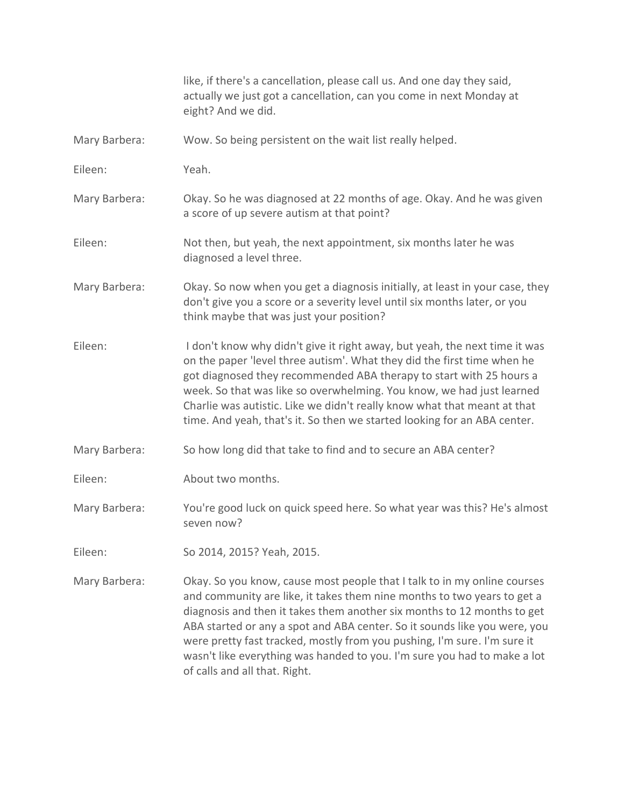|               | like, if there's a cancellation, please call us. And one day they said,<br>actually we just got a cancellation, can you come in next Monday at<br>eight? And we did.                                                                                                                                                                                                                                                                                                                                 |
|---------------|------------------------------------------------------------------------------------------------------------------------------------------------------------------------------------------------------------------------------------------------------------------------------------------------------------------------------------------------------------------------------------------------------------------------------------------------------------------------------------------------------|
| Mary Barbera: | Wow. So being persistent on the wait list really helped.                                                                                                                                                                                                                                                                                                                                                                                                                                             |
| Eileen:       | Yeah.                                                                                                                                                                                                                                                                                                                                                                                                                                                                                                |
| Mary Barbera: | Okay. So he was diagnosed at 22 months of age. Okay. And he was given<br>a score of up severe autism at that point?                                                                                                                                                                                                                                                                                                                                                                                  |
| Eileen:       | Not then, but yeah, the next appointment, six months later he was<br>diagnosed a level three.                                                                                                                                                                                                                                                                                                                                                                                                        |
| Mary Barbera: | Okay. So now when you get a diagnosis initially, at least in your case, they<br>don't give you a score or a severity level until six months later, or you<br>think maybe that was just your position?                                                                                                                                                                                                                                                                                                |
| Eileen:       | I don't know why didn't give it right away, but yeah, the next time it was<br>on the paper 'level three autism'. What they did the first time when he<br>got diagnosed they recommended ABA therapy to start with 25 hours a<br>week. So that was like so overwhelming. You know, we had just learned<br>Charlie was autistic. Like we didn't really know what that meant at that<br>time. And yeah, that's it. So then we started looking for an ABA center.                                        |
| Mary Barbera: | So how long did that take to find and to secure an ABA center?                                                                                                                                                                                                                                                                                                                                                                                                                                       |
| Eileen:       | About two months.                                                                                                                                                                                                                                                                                                                                                                                                                                                                                    |
| Mary Barbera: | You're good luck on quick speed here. So what year was this? He's almost<br>seven now?                                                                                                                                                                                                                                                                                                                                                                                                               |
| Eileen:       | So 2014, 2015? Yeah, 2015.                                                                                                                                                                                                                                                                                                                                                                                                                                                                           |
| Mary Barbera: | Okay. So you know, cause most people that I talk to in my online courses<br>and community are like, it takes them nine months to two years to get a<br>diagnosis and then it takes them another six months to 12 months to get<br>ABA started or any a spot and ABA center. So it sounds like you were, you<br>were pretty fast tracked, mostly from you pushing, I'm sure. I'm sure it<br>wasn't like everything was handed to you. I'm sure you had to make a lot<br>of calls and all that. Right. |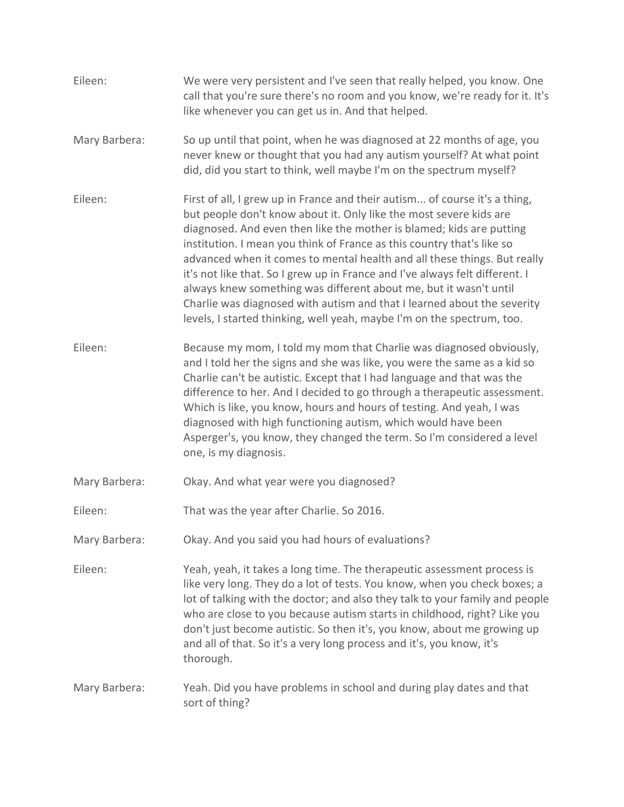| Eileen:       | We were very persistent and I've seen that really helped, you know. One<br>call that you're sure there's no room and you know, we're ready for it. It's<br>like whenever you can get us in. And that helped.                                                                                                                                                                                                                                                                                                                                                                                                                                                                             |
|---------------|------------------------------------------------------------------------------------------------------------------------------------------------------------------------------------------------------------------------------------------------------------------------------------------------------------------------------------------------------------------------------------------------------------------------------------------------------------------------------------------------------------------------------------------------------------------------------------------------------------------------------------------------------------------------------------------|
| Mary Barbera: | So up until that point, when he was diagnosed at 22 months of age, you<br>never knew or thought that you had any autism yourself? At what point<br>did, did you start to think, well maybe I'm on the spectrum myself?                                                                                                                                                                                                                                                                                                                                                                                                                                                                   |
| Eileen:       | First of all, I grew up in France and their autism of course it's a thing,<br>but people don't know about it. Only like the most severe kids are<br>diagnosed. And even then like the mother is blamed; kids are putting<br>institution. I mean you think of France as this country that's like so<br>advanced when it comes to mental health and all these things. But really<br>it's not like that. So I grew up in France and I've always felt different. I<br>always knew something was different about me, but it wasn't until<br>Charlie was diagnosed with autism and that I learned about the severity<br>levels, I started thinking, well yeah, maybe I'm on the spectrum, too. |
| Eileen:       | Because my mom, I told my mom that Charlie was diagnosed obviously,<br>and I told her the signs and she was like, you were the same as a kid so<br>Charlie can't be autistic. Except that I had language and that was the<br>difference to her. And I decided to go through a therapeutic assessment.<br>Which is like, you know, hours and hours of testing. And yeah, I was<br>diagnosed with high functioning autism, which would have been<br>Asperger's, you know, they changed the term. So I'm considered a level<br>one, is my diagnosis.                                                                                                                                        |
| Mary Barbera: | Okay. And what year were you diagnosed?                                                                                                                                                                                                                                                                                                                                                                                                                                                                                                                                                                                                                                                  |
| Eileen:       | That was the year after Charlie. So 2016.                                                                                                                                                                                                                                                                                                                                                                                                                                                                                                                                                                                                                                                |
| Mary Barbera: | Okay. And you said you had hours of evaluations?                                                                                                                                                                                                                                                                                                                                                                                                                                                                                                                                                                                                                                         |
| Eileen:       | Yeah, yeah, it takes a long time. The therapeutic assessment process is<br>like very long. They do a lot of tests. You know, when you check boxes; a<br>lot of talking with the doctor; and also they talk to your family and people<br>who are close to you because autism starts in childhood, right? Like you<br>don't just become autistic. So then it's, you know, about me growing up<br>and all of that. So it's a very long process and it's, you know, it's<br>thorough.                                                                                                                                                                                                        |
| Mary Barbera: | Yeah. Did you have problems in school and during play dates and that<br>sort of thing?                                                                                                                                                                                                                                                                                                                                                                                                                                                                                                                                                                                                   |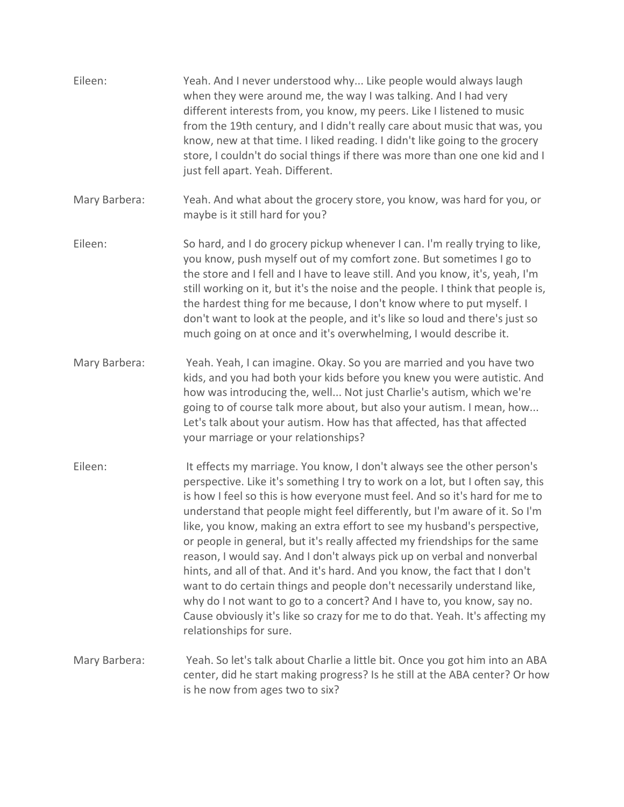| Eileen:       | Yeah. And I never understood why Like people would always laugh<br>when they were around me, the way I was talking. And I had very<br>different interests from, you know, my peers. Like I listened to music<br>from the 19th century, and I didn't really care about music that was, you<br>know, new at that time. I liked reading. I didn't like going to the grocery<br>store, I couldn't do social things if there was more than one one kid and I<br>just fell apart. Yeah. Different.                                                                                                                                                                                                                                                                                                                                                                                                              |
|---------------|-----------------------------------------------------------------------------------------------------------------------------------------------------------------------------------------------------------------------------------------------------------------------------------------------------------------------------------------------------------------------------------------------------------------------------------------------------------------------------------------------------------------------------------------------------------------------------------------------------------------------------------------------------------------------------------------------------------------------------------------------------------------------------------------------------------------------------------------------------------------------------------------------------------|
| Mary Barbera: | Yeah. And what about the grocery store, you know, was hard for you, or<br>maybe is it still hard for you?                                                                                                                                                                                                                                                                                                                                                                                                                                                                                                                                                                                                                                                                                                                                                                                                 |
| Eileen:       | So hard, and I do grocery pickup whenever I can. I'm really trying to like,<br>you know, push myself out of my comfort zone. But sometimes I go to<br>the store and I fell and I have to leave still. And you know, it's, yeah, I'm<br>still working on it, but it's the noise and the people. I think that people is,<br>the hardest thing for me because, I don't know where to put myself. I<br>don't want to look at the people, and it's like so loud and there's just so<br>much going on at once and it's overwhelming, I would describe it.                                                                                                                                                                                                                                                                                                                                                       |
| Mary Barbera: | Yeah. Yeah, I can imagine. Okay. So you are married and you have two<br>kids, and you had both your kids before you knew you were autistic. And<br>how was introducing the, well Not just Charlie's autism, which we're<br>going to of course talk more about, but also your autism. I mean, how<br>Let's talk about your autism. How has that affected, has that affected<br>your marriage or your relationships?                                                                                                                                                                                                                                                                                                                                                                                                                                                                                        |
| Eileen:       | It effects my marriage. You know, I don't always see the other person's<br>perspective. Like it's something I try to work on a lot, but I often say, this<br>is how I feel so this is how everyone must feel. And so it's hard for me to<br>understand that people might feel differently, but I'm aware of it. So I'm<br>like, you know, making an extra effort to see my husband's perspective,<br>or people in general, but it's really affected my friendships for the same<br>reason, I would say. And I don't always pick up on verbal and nonverbal<br>hints, and all of that. And it's hard. And you know, the fact that I don't<br>want to do certain things and people don't necessarily understand like,<br>why do I not want to go to a concert? And I have to, you know, say no.<br>Cause obviously it's like so crazy for me to do that. Yeah. It's affecting my<br>relationships for sure. |
| Mary Barbera: | Yeah. So let's talk about Charlie a little bit. Once you got him into an ABA<br>center, did he start making progress? Is he still at the ABA center? Or how<br>is he now from ages two to six?                                                                                                                                                                                                                                                                                                                                                                                                                                                                                                                                                                                                                                                                                                            |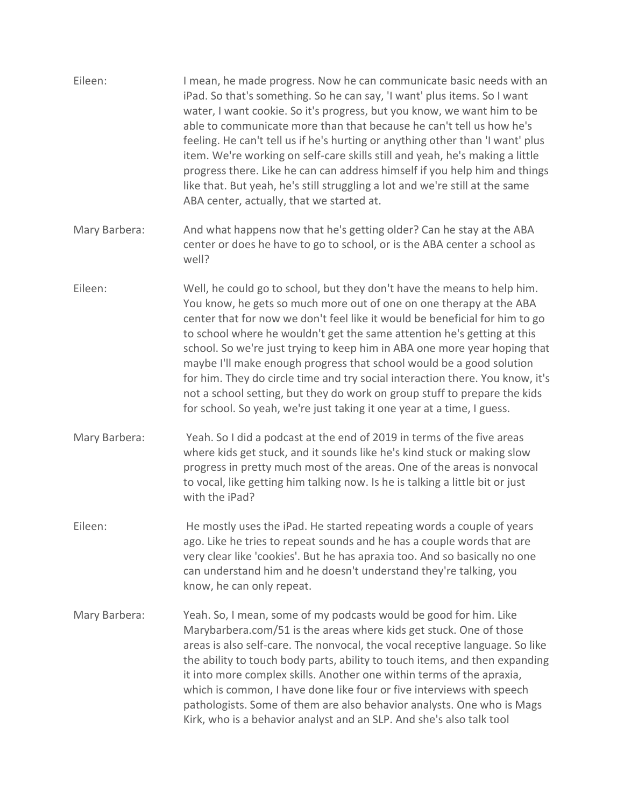| Eileen:       | I mean, he made progress. Now he can communicate basic needs with an<br>iPad. So that's something. So he can say, 'I want' plus items. So I want<br>water, I want cookie. So it's progress, but you know, we want him to be<br>able to communicate more than that because he can't tell us how he's<br>feeling. He can't tell us if he's hurting or anything other than 'I want' plus<br>item. We're working on self-care skills still and yeah, he's making a little<br>progress there. Like he can can address himself if you help him and things<br>like that. But yeah, he's still struggling a lot and we're still at the same<br>ABA center, actually, that we started at.                      |
|---------------|-------------------------------------------------------------------------------------------------------------------------------------------------------------------------------------------------------------------------------------------------------------------------------------------------------------------------------------------------------------------------------------------------------------------------------------------------------------------------------------------------------------------------------------------------------------------------------------------------------------------------------------------------------------------------------------------------------|
| Mary Barbera: | And what happens now that he's getting older? Can he stay at the ABA<br>center or does he have to go to school, or is the ABA center a school as<br>well?                                                                                                                                                                                                                                                                                                                                                                                                                                                                                                                                             |
| Eileen:       | Well, he could go to school, but they don't have the means to help him.<br>You know, he gets so much more out of one on one therapy at the ABA<br>center that for now we don't feel like it would be beneficial for him to go<br>to school where he wouldn't get the same attention he's getting at this<br>school. So we're just trying to keep him in ABA one more year hoping that<br>maybe I'll make enough progress that school would be a good solution<br>for him. They do circle time and try social interaction there. You know, it's<br>not a school setting, but they do work on group stuff to prepare the kids<br>for school. So yeah, we're just taking it one year at a time, I guess. |
| Mary Barbera: | Yeah. So I did a podcast at the end of 2019 in terms of the five areas<br>where kids get stuck, and it sounds like he's kind stuck or making slow<br>progress in pretty much most of the areas. One of the areas is nonvocal<br>to vocal, like getting him talking now. Is he is talking a little bit or just<br>with the iPad?                                                                                                                                                                                                                                                                                                                                                                       |
| Eileen:       | He mostly uses the iPad. He started repeating words a couple of years<br>ago. Like he tries to repeat sounds and he has a couple words that are<br>very clear like 'cookies'. But he has apraxia too. And so basically no one<br>can understand him and he doesn't understand they're talking, you<br>know, he can only repeat.                                                                                                                                                                                                                                                                                                                                                                       |
| Mary Barbera: | Yeah. So, I mean, some of my podcasts would be good for him. Like<br>Marybarbera.com/51 is the areas where kids get stuck. One of those<br>areas is also self-care. The nonvocal, the vocal receptive language. So like<br>the ability to touch body parts, ability to touch items, and then expanding<br>it into more complex skills. Another one within terms of the apraxia,<br>which is common, I have done like four or five interviews with speech<br>pathologists. Some of them are also behavior analysts. One who is Mags<br>Kirk, who is a behavior analyst and an SLP. And she's also talk tool                                                                                            |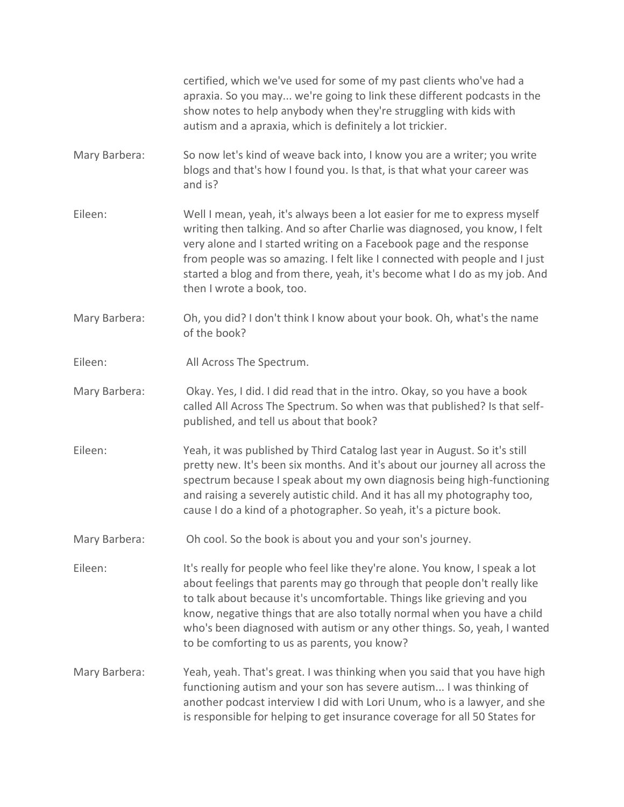certified, which we've used for some of my past clients who've had a apraxia. So you may... we're going to link these different podcasts in the show notes to help anybody when they're struggling with kids with autism and a apraxia, which is definitely a lot trickier.

- Mary Barbera: So now let's kind of weave back into, I know you are a writer; you write blogs and that's how I found you. Is that, is that what your career was and is?
- Eileen: Well I mean, yeah, it's always been a lot easier for me to express myself writing then talking. And so after Charlie was diagnosed, you know, I felt very alone and I started writing on a Facebook page and the response from people was so amazing. I felt like I connected with people and I just started a blog and from there, yeah, it's become what I do as my job. And then I wrote a book, too.
- Mary Barbera: Oh, you did? I don't think I know about your book. Oh, what's the name of the book?
- Eileen: All Across The Spectrum.
- Mary Barbera: Okay. Yes, I did. I did read that in the intro. Okay, so you have a book called All Across The Spectrum. So when was that published? Is that selfpublished, and tell us about that book?
- Eileen: Yeah, it was published by Third Catalog last year in August. So it's still pretty new. It's been six months. And it's about our journey all across the spectrum because I speak about my own diagnosis being high-functioning and raising a severely autistic child. And it has all my photography too, cause I do a kind of a photographer. So yeah, it's a picture book.
- Mary Barbera: Oh cool. So the book is about you and your son's journey.

Eileen: It's really for people who feel like they're alone. You know, I speak a lot about feelings that parents may go through that people don't really like to talk about because it's uncomfortable. Things like grieving and you know, negative things that are also totally normal when you have a child who's been diagnosed with autism or any other things. So, yeah, I wanted to be comforting to us as parents, you know?

Mary Barbera: Yeah, yeah. That's great. I was thinking when you said that you have high functioning autism and your son has severe autism... I was thinking of another podcast interview I did with Lori Unum, who is a lawyer, and she is responsible for helping to get insurance coverage for all 50 States for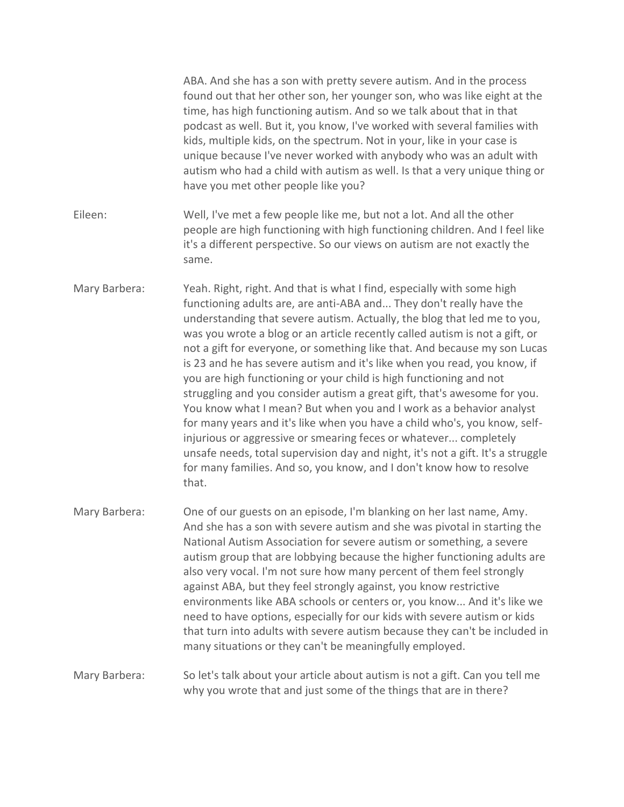|               | ABA. And she has a son with pretty severe autism. And in the process<br>found out that her other son, her younger son, who was like eight at the<br>time, has high functioning autism. And so we talk about that in that<br>podcast as well. But it, you know, I've worked with several families with<br>kids, multiple kids, on the spectrum. Not in your, like in your case is<br>unique because I've never worked with anybody who was an adult with<br>autism who had a child with autism as well. Is that a very unique thing or<br>have you met other people like you?                                                                                                                                                                                                                                                                                                                                                                                                                                    |
|---------------|-----------------------------------------------------------------------------------------------------------------------------------------------------------------------------------------------------------------------------------------------------------------------------------------------------------------------------------------------------------------------------------------------------------------------------------------------------------------------------------------------------------------------------------------------------------------------------------------------------------------------------------------------------------------------------------------------------------------------------------------------------------------------------------------------------------------------------------------------------------------------------------------------------------------------------------------------------------------------------------------------------------------|
| Eileen:       | Well, I've met a few people like me, but not a lot. And all the other<br>people are high functioning with high functioning children. And I feel like<br>it's a different perspective. So our views on autism are not exactly the<br>same.                                                                                                                                                                                                                                                                                                                                                                                                                                                                                                                                                                                                                                                                                                                                                                       |
| Mary Barbera: | Yeah. Right, right. And that is what I find, especially with some high<br>functioning adults are, are anti-ABA and They don't really have the<br>understanding that severe autism. Actually, the blog that led me to you,<br>was you wrote a blog or an article recently called autism is not a gift, or<br>not a gift for everyone, or something like that. And because my son Lucas<br>is 23 and he has severe autism and it's like when you read, you know, if<br>you are high functioning or your child is high functioning and not<br>struggling and you consider autism a great gift, that's awesome for you.<br>You know what I mean? But when you and I work as a behavior analyst<br>for many years and it's like when you have a child who's, you know, self-<br>injurious or aggressive or smearing feces or whatever completely<br>unsafe needs, total supervision day and night, it's not a gift. It's a struggle<br>for many families. And so, you know, and I don't know how to resolve<br>that. |
| Mary Barbera: | One of our guests on an episode, I'm blanking on her last name, Amy.<br>And she has a son with severe autism and she was pivotal in starting the<br>National Autism Association for severe autism or something, a severe<br>autism group that are lobbying because the higher functioning adults are<br>also very vocal. I'm not sure how many percent of them feel strongly<br>against ABA, but they feel strongly against, you know restrictive<br>environments like ABA schools or centers or, you know And it's like we<br>need to have options, especially for our kids with severe autism or kids<br>that turn into adults with severe autism because they can't be included in<br>many situations or they can't be meaningfully employed.                                                                                                                                                                                                                                                                |
| Mary Barbera: | So let's talk about your article about autism is not a gift. Can you tell me<br>why you wrote that and just some of the things that are in there?                                                                                                                                                                                                                                                                                                                                                                                                                                                                                                                                                                                                                                                                                                                                                                                                                                                               |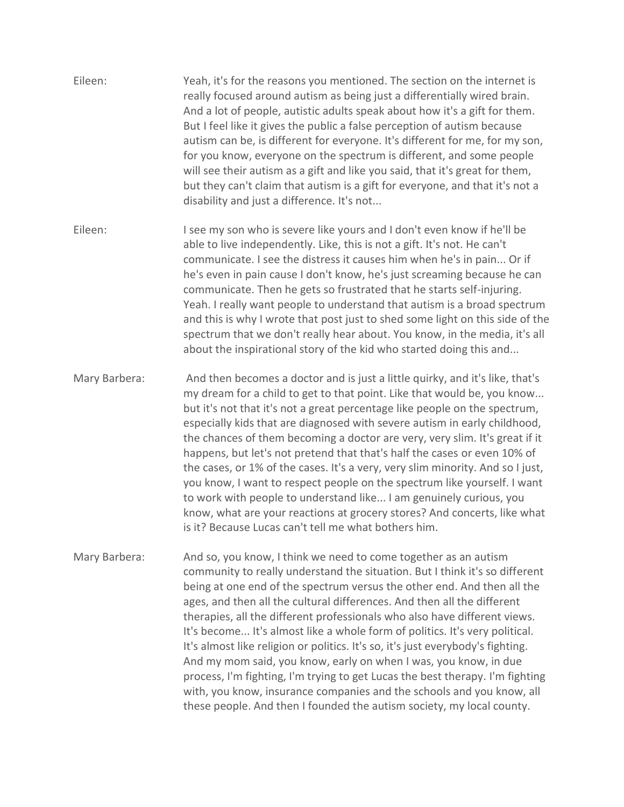- Eileen: Yeah, it's for the reasons you mentioned. The section on the internet is really focused around autism as being just a differentially wired brain. And a lot of people, autistic adults speak about how it's a gift for them. But I feel like it gives the public a false perception of autism because autism can be, is different for everyone. It's different for me, for my son, for you know, everyone on the spectrum is different, and some people will see their autism as a gift and like you said, that it's great for them, but they can't claim that autism is a gift for everyone, and that it's not a disability and just a difference. It's not...
- Eileen: I see my son who is severe like yours and I don't even know if he'll be able to live independently. Like, this is not a gift. It's not. He can't communicate. I see the distress it causes him when he's in pain... Or if he's even in pain cause I don't know, he's just screaming because he can communicate. Then he gets so frustrated that he starts self-injuring. Yeah. I really want people to understand that autism is a broad spectrum and this is why I wrote that post just to shed some light on this side of the spectrum that we don't really hear about. You know, in the media, it's all about the inspirational story of the kid who started doing this and...

Mary Barbera: And then becomes a doctor and is just a little quirky, and it's like, that's my dream for a child to get to that point. Like that would be, you know... but it's not that it's not a great percentage like people on the spectrum, especially kids that are diagnosed with severe autism in early childhood, the chances of them becoming a doctor are very, very slim. It's great if it happens, but let's not pretend that that's half the cases or even 10% of the cases, or 1% of the cases. It's a very, very slim minority. And so I just, you know, I want to respect people on the spectrum like yourself. I want to work with people to understand like... I am genuinely curious, you know, what are your reactions at grocery stores? And concerts, like what is it? Because Lucas can't tell me what bothers him.

Mary Barbera: And so, you know, I think we need to come together as an autism community to really understand the situation. But I think it's so different being at one end of the spectrum versus the other end. And then all the ages, and then all the cultural differences. And then all the different therapies, all the different professionals who also have different views. It's become... It's almost like a whole form of politics. It's very political. It's almost like religion or politics. It's so, it's just everybody's fighting. And my mom said, you know, early on when I was, you know, in due process, I'm fighting, I'm trying to get Lucas the best therapy. I'm fighting with, you know, insurance companies and the schools and you know, all these people. And then I founded the autism society, my local county.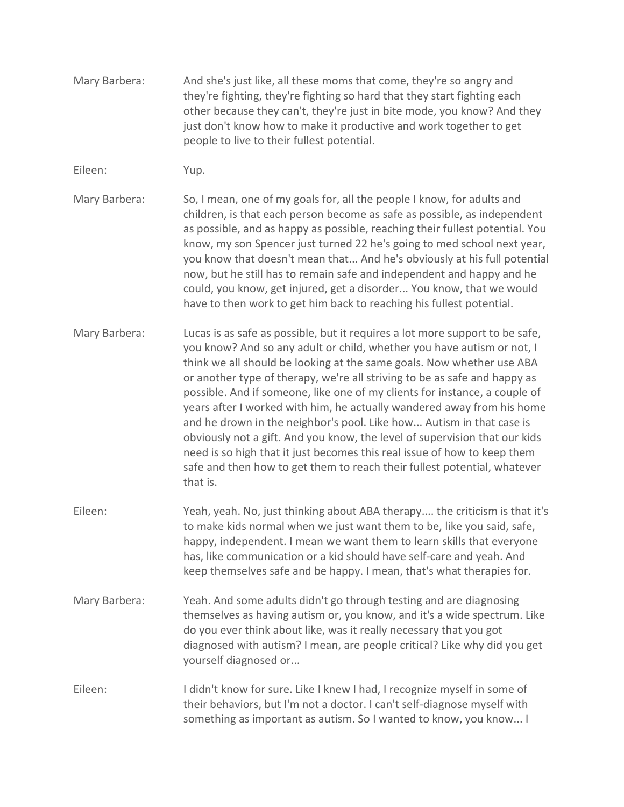- Mary Barbera: And she's just like, all these moms that come, they're so angry and they're fighting, they're fighting so hard that they start fighting each other because they can't, they're just in bite mode, you know? And they just don't know how to make it productive and work together to get people to live to their fullest potential.
- Eileen: Yup.
- Mary Barbera: So, I mean, one of my goals for, all the people I know, for adults and children, is that each person become as safe as possible, as independent as possible, and as happy as possible, reaching their fullest potential. You know, my son Spencer just turned 22 he's going to med school next year, you know that doesn't mean that... And he's obviously at his full potential now, but he still has to remain safe and independent and happy and he could, you know, get injured, get a disorder... You know, that we would have to then work to get him back to reaching his fullest potential.
- Mary Barbera: Lucas is as safe as possible, but it requires a lot more support to be safe, you know? And so any adult or child, whether you have autism or not, I think we all should be looking at the same goals. Now whether use ABA or another type of therapy, we're all striving to be as safe and happy as possible. And if someone, like one of my clients for instance, a couple of years after I worked with him, he actually wandered away from his home and he drown in the neighbor's pool. Like how... Autism in that case is obviously not a gift. And you know, the level of supervision that our kids need is so high that it just becomes this real issue of how to keep them safe and then how to get them to reach their fullest potential, whatever that is.
- Eileen: Yeah, yeah. No, just thinking about ABA therapy.... the criticism is that it's to make kids normal when we just want them to be, like you said, safe, happy, independent. I mean we want them to learn skills that everyone has, like communication or a kid should have self-care and yeah. And keep themselves safe and be happy. I mean, that's what therapies for.
- Mary Barbera: Yeah. And some adults didn't go through testing and are diagnosing themselves as having autism or, you know, and it's a wide spectrum. Like do you ever think about like, was it really necessary that you got diagnosed with autism? I mean, are people critical? Like why did you get yourself diagnosed or...
- Eileen: I didn't know for sure. Like I knew I had, I recognize myself in some of their behaviors, but I'm not a doctor. I can't self-diagnose myself with something as important as autism. So I wanted to know, you know... I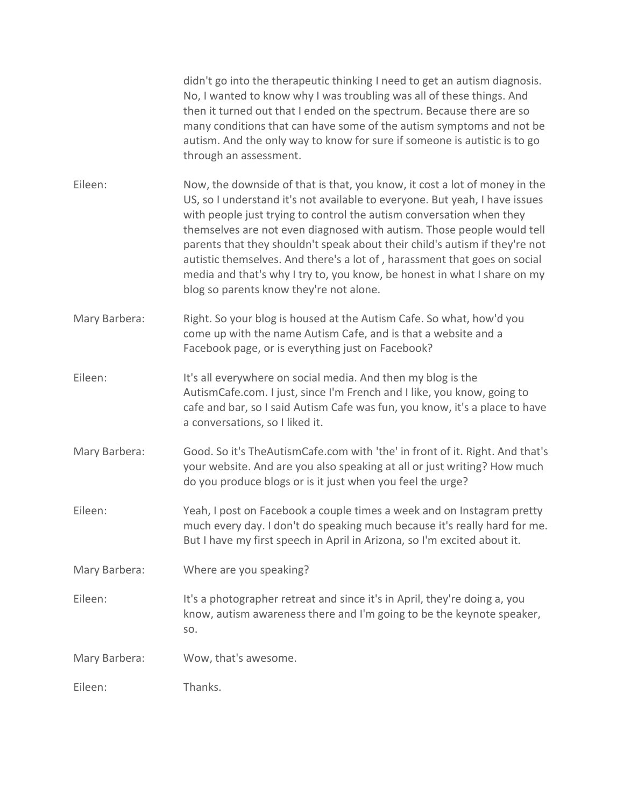|               | didn't go into the therapeutic thinking I need to get an autism diagnosis.<br>No, I wanted to know why I was troubling was all of these things. And<br>then it turned out that I ended on the spectrum. Because there are so<br>many conditions that can have some of the autism symptoms and not be<br>autism. And the only way to know for sure if someone is autistic is to go<br>through an assessment.                                                                                                                                                                                    |
|---------------|------------------------------------------------------------------------------------------------------------------------------------------------------------------------------------------------------------------------------------------------------------------------------------------------------------------------------------------------------------------------------------------------------------------------------------------------------------------------------------------------------------------------------------------------------------------------------------------------|
| Eileen:       | Now, the downside of that is that, you know, it cost a lot of money in the<br>US, so I understand it's not available to everyone. But yeah, I have issues<br>with people just trying to control the autism conversation when they<br>themselves are not even diagnosed with autism. Those people would tell<br>parents that they shouldn't speak about their child's autism if they're not<br>autistic themselves. And there's a lot of, harassment that goes on social<br>media and that's why I try to, you know, be honest in what I share on my<br>blog so parents know they're not alone. |
| Mary Barbera: | Right. So your blog is housed at the Autism Cafe. So what, how'd you<br>come up with the name Autism Cafe, and is that a website and a<br>Facebook page, or is everything just on Facebook?                                                                                                                                                                                                                                                                                                                                                                                                    |
| Eileen:       | It's all everywhere on social media. And then my blog is the<br>AutismCafe.com. I just, since I'm French and I like, you know, going to<br>cafe and bar, so I said Autism Cafe was fun, you know, it's a place to have<br>a conversations, so I liked it.                                                                                                                                                                                                                                                                                                                                      |
| Mary Barbera: | Good. So it's TheAutismCafe.com with 'the' in front of it. Right. And that's<br>your website. And are you also speaking at all or just writing? How much<br>do you produce blogs or is it just when you feel the urge?                                                                                                                                                                                                                                                                                                                                                                         |
| Eileen:       | Yeah, I post on Facebook a couple times a week and on Instagram pretty<br>much every day. I don't do speaking much because it's really hard for me.<br>But I have my first speech in April in Arizona, so I'm excited about it.                                                                                                                                                                                                                                                                                                                                                                |
| Mary Barbera: | Where are you speaking?                                                                                                                                                                                                                                                                                                                                                                                                                                                                                                                                                                        |
| Eileen:       | It's a photographer retreat and since it's in April, they're doing a, you<br>know, autism awareness there and I'm going to be the keynote speaker,<br>SO.                                                                                                                                                                                                                                                                                                                                                                                                                                      |
| Mary Barbera: | Wow, that's awesome.                                                                                                                                                                                                                                                                                                                                                                                                                                                                                                                                                                           |
| Eileen:       | Thanks.                                                                                                                                                                                                                                                                                                                                                                                                                                                                                                                                                                                        |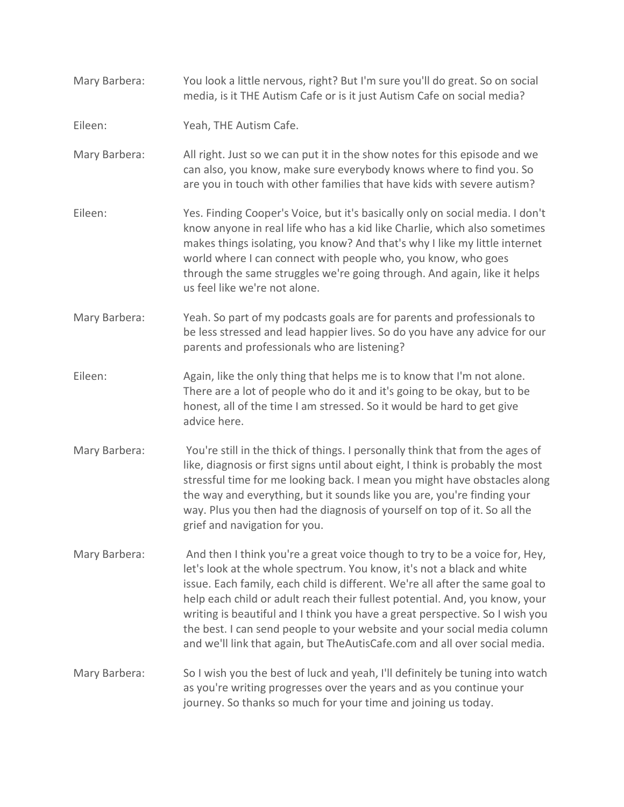- Mary Barbera: You look a little nervous, right? But I'm sure you'll do great. So on social media, is it THE Autism Cafe or is it just Autism Cafe on social media?
- Eileen: Yeah, THE Autism Cafe.
- Mary Barbera: All right. Just so we can put it in the show notes for this episode and we can also, you know, make sure everybody knows where to find you. So are you in touch with other families that have kids with severe autism?
- Eileen: Yes. Finding Cooper's Voice, but it's basically only on social media. I don't know anyone in real life who has a kid like Charlie, which also sometimes makes things isolating, you know? And that's why I like my little internet world where I can connect with people who, you know, who goes through the same struggles we're going through. And again, like it helps us feel like we're not alone.
- Mary Barbera: Yeah. So part of my podcasts goals are for parents and professionals to be less stressed and lead happier lives. So do you have any advice for our parents and professionals who are listening?
- Eileen: Again, like the only thing that helps me is to know that I'm not alone. There are a lot of people who do it and it's going to be okay, but to be honest, all of the time I am stressed. So it would be hard to get give advice here.
- Mary Barbera: You're still in the thick of things. I personally think that from the ages of like, diagnosis or first signs until about eight, I think is probably the most stressful time for me looking back. I mean you might have obstacles along the way and everything, but it sounds like you are, you're finding your way. Plus you then had the diagnosis of yourself on top of it. So all the grief and navigation for you.
- Mary Barbera: And then I think you're a great voice though to try to be a voice for, Hey, let's look at the whole spectrum. You know, it's not a black and white issue. Each family, each child is different. We're all after the same goal to help each child or adult reach their fullest potential. And, you know, your writing is beautiful and I think you have a great perspective. So I wish you the best. I can send people to your website and your social media column and we'll link that again, but TheAutisCafe.com and all over social media.
- Mary Barbera: So I wish you the best of luck and yeah, I'll definitely be tuning into watch as you're writing progresses over the years and as you continue your journey. So thanks so much for your time and joining us today.